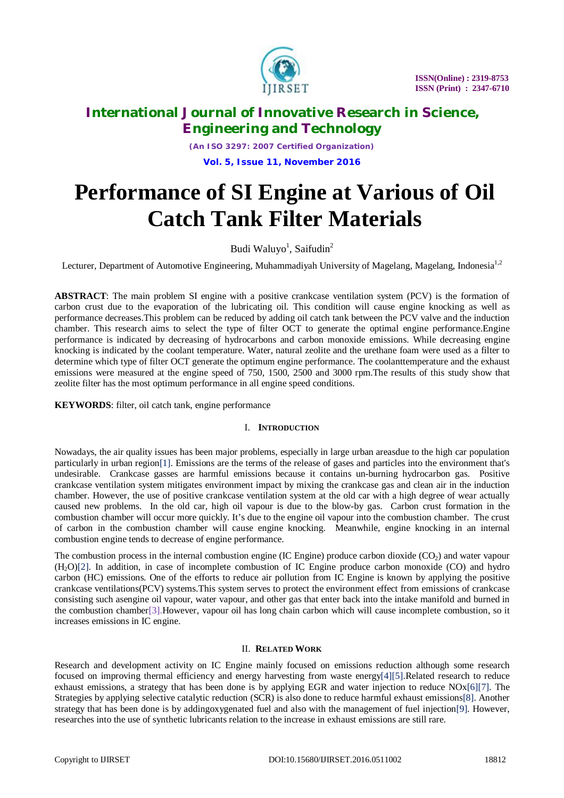

*(An ISO 3297: 2007 Certified Organization)* **Vol. 5, Issue 11, November 2016**

# **Performance of SI Engine at Various of Oil Catch Tank Filter Materials**

Budi Waluyo<sup>1</sup>, Saifudin<sup>2</sup>

Lecturer, Department of Automotive Engineering, Muhammadiyah University of Magelang, Magelang, Indonesia<sup>1,2</sup>

**ABSTRACT**: The main problem SI engine with a positive crankcase ventilation system (PCV) is the formation of carbon crust due to the evaporation of the lubricating oil. This condition will cause engine knocking as well as performance decreases.This problem can be reduced by adding oil catch tank between the PCV valve and the induction chamber. This research aims to select the type of filter OCT to generate the optimal engine performance.Engine performance is indicated by decreasing of hydrocarbons and carbon monoxide emissions. While decreasing engine knocking is indicated by the coolant temperature. Water, natural zeolite and the urethane foam were used as a filter to determine which type of filter OCT generate the optimum engine performance. The coolanttemperature and the exhaust emissions were measured at the engine speed of 750, 1500, 2500 and 3000 rpm.The results of this study show that zeolite filter has the most optimum performance in all engine speed conditions.

**KEYWORDS**: filter, oil catch tank, engine performance

### I. **INTRODUCTION**

Nowadays, the air quality issues has been major problems, especially in large urban areasdue to the high car population particularly in urban region[1]. Emissions are the terms of the release of gases and particles into the environment that's undesirable. Crankcase gasses are harmful emissions because it contains un-burning hydrocarbon gas. Positive crankcase ventilation system mitigates environment impact by mixing the crankcase gas and clean air in the induction chamber. However, the use of positive crankcase ventilation system at the old car with a high degree of wear actually caused new problems. In the old car, high oil vapour is due to the blow-by gas. Carbon crust formation in the combustion chamber will occur more quickly. It's due to the engine oil vapour into the combustion chamber. The crust of carbon in the combustion chamber will cause engine knocking. Meanwhile, engine knocking in an internal combustion engine tends to decrease of engine performance.

The combustion process in the internal combustion engine (IC Engine) produce carbon dioxide  $(CO<sub>2</sub>)$  and water vapour (H2O)[2]. In addition, in case of incomplete combustion of IC Engine produce carbon monoxide (CO) and hydro carbon (HC) emissions. One of the efforts to reduce air pollution from IC Engine is known by applying the positive crankcase ventilations(PCV) systems.This system serves to protect the environment effect from emissions of crankcase consisting such asengine oil vapour, water vapour, and other gas that enter back into the intake manifold and burned in the combustion chamber[3].However, vapour oil has long chain carbon which will cause incomplete combustion, so it increases emissions in IC engine.

# II. **RELATED WORK**

Research and development activity on IC Engine mainly focused on emissions reduction although some research focused on improving thermal efficiency and energy harvesting from waste energy[4][5].Related research to reduce exhaust emissions, a strategy that has been done is by applying EGR and water injection to reduce NOx[6][7]. The Strategies by applying selective catalytic reduction (SCR) is also done to reduce harmful exhaust emissions[8]. Another strategy that has been done is by addingoxygenated fuel and also with the management of fuel injection[9]. However, researches into the use of synthetic lubricants relation to the increase in exhaust emissions are still rare.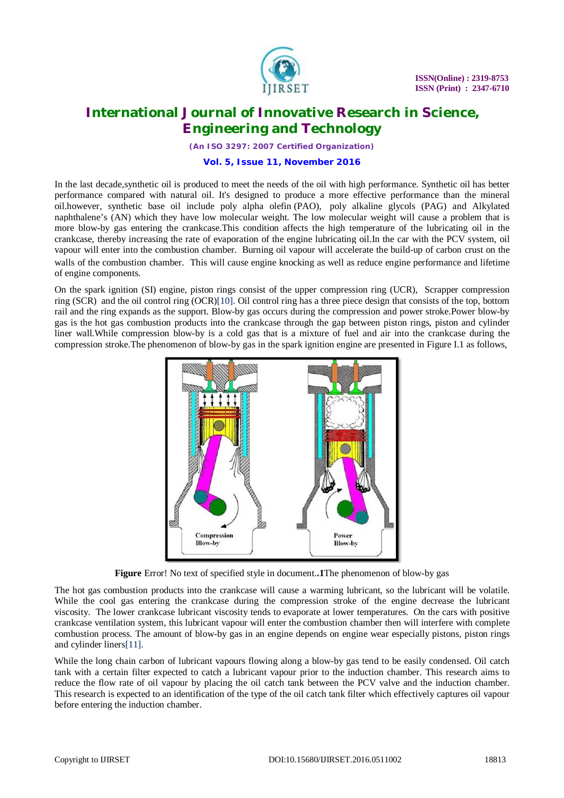

*(An ISO 3297: 2007 Certified Organization)*

### **Vol. 5, Issue 11, November 2016**

In the last decade,synthetic oil is produced to meet the needs of the oil with high performance. Synthetic oil has better performance compared with natural oil. It's designed to produce a more effective performance than the mineral oil.however, synthetic base oil include poly alpha olefin (PAO), poly alkaline glycols (PAG) and Alkylated naphthalene's (AN) which they have low molecular weight. The low molecular weight will cause a problem that is more blow-by gas entering the crankcase.This condition affects the high temperature of the lubricating oil in the crankcase, thereby increasing the rate of evaporation of the engine lubricating oil.In the car with the PCV system, oil vapour will enter into the combustion chamber. Burning oil vapour will accelerate the build-up of carbon crust on the walls of the combustion chamber. This will cause engine knocking as well as reduce engine performance and lifetime of engine components.

On the spark ignition (SI) engine, piston rings consist of the upper compression ring (UCR), Scrapper compression ring (SCR) and the oil control ring (OCR)[10]. Oil control ring has a three piece design that consists of the top, bottom rail and the ring expands as the support. Blow-by gas occurs during the compression and power stroke.Power blow-by gas is the hot gas combustion products into the crankcase through the gap between piston rings, piston and cylinder liner wall.While compression blow-by is a cold gas that is a mixture of fuel and air into the crankcase during the compression stroke.The phenomenon of blow-by gas in the spark ignition engine are presented in Figure I.1 as follows,



**Figure** Error! No text of specified style in document.**.1**The phenomenon of blow-by gas

The hot gas combustion products into the crankcase will cause a warming lubricant, so the lubricant will be volatile. While the cool gas entering the crankcase during the compression stroke of the engine decrease the lubricant viscosity. The lower crankcase lubricant viscosity tends to evaporate at lower temperatures. On the cars with positive crankcase ventilation system, this lubricant vapour will enter the combustion chamber then will interfere with complete combustion process. The amount of blow-by gas in an engine depends on engine wear especially pistons, piston rings and cylinder liners[11].

While the long chain carbon of lubricant vapours flowing along a blow-by gas tend to be easily condensed. Oil catch tank with a certain filter expected to catch a lubricant vapour prior to the induction chamber. This research aims to reduce the flow rate of oil vapour by placing the oil catch tank between the PCV valve and the induction chamber. This research is expected to an identification of the type of the oil catch tank filter which effectively captures oil vapour before entering the induction chamber.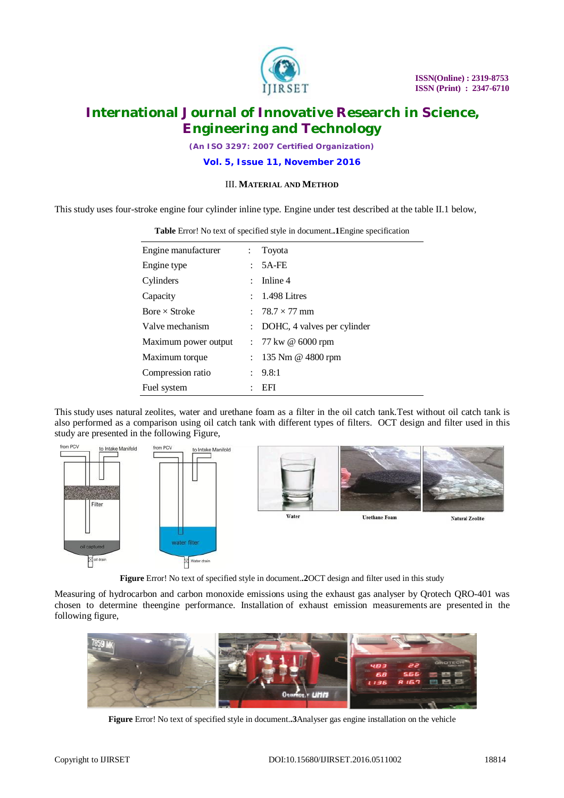

*(An ISO 3297: 2007 Certified Organization)*

**Vol. 5, Issue 11, November 2016**

## III. **MATERIAL AND METHOD**

This study uses four-stroke engine four cylinder inline type. Engine under test described at the table II.1 below,

| Engine manufacturer  | $\ddot{\phantom{0}}$      | Toyota                                 |
|----------------------|---------------------------|----------------------------------------|
| Engine type          |                           | 5A-FE                                  |
| Cylinders            | $\mathbb{R}^{\mathbb{Z}}$ | Inline 4                               |
| Capacity             |                           | $: 1.498$ Litres                       |
| Bore $\times$ Stroke |                           | : $78.7 \times 77 \text{ mm}$          |
| Valve mechanism      |                           | : DOHC, 4 valves per cylinder          |
| Maximum power output |                           | $: 77 \text{ kw} \ @ 6000 \text{ rpm}$ |
| Maximum torque       |                           | : $135 \text{ Nm} \& 4800 \text{ rpm}$ |
| Compression ratio    | $\ddot{\phantom{0}}$      | 9.8:1                                  |
| Fuel system          |                           | EFI                                    |

**Table** Error! No text of specified style in document.**.1**Engine specification

This study uses natural zeolites, water and urethane foam as a filter in the oil catch tank.Test without oil catch tank is also performed as a comparison using oil catch tank with different types of filters. OCT design and filter used in this study are presented in the following Figure,



**Figure** Error! No text of specified style in document.**.2**OCT design and filter used in this study

Measuring of hydrocarbon and carbon monoxide emissions using the exhaust gas analyser by Qrotech QRO-401 was chosen to determine theengine performance. Installation of exhaust emission measurements are presented in the following figure,



**Figure** Error! No text of specified style in document.**.3**Analyser gas engine installation on the vehicle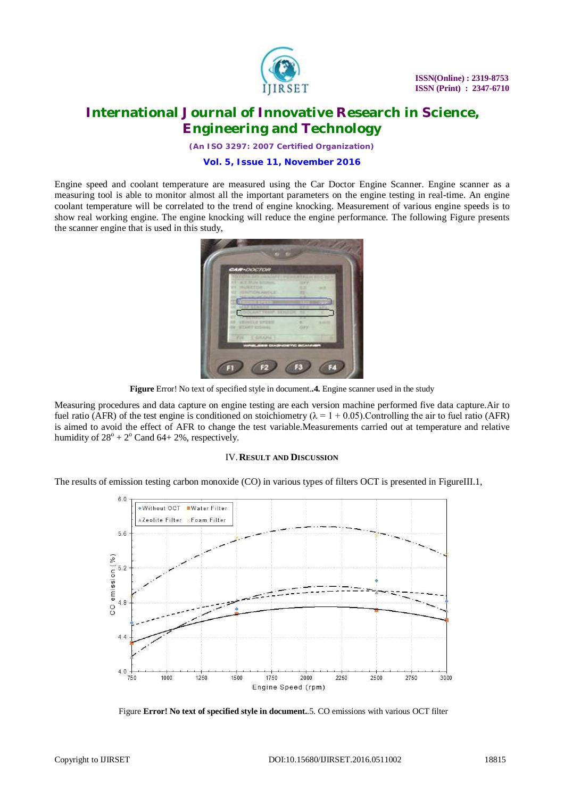

*(An ISO 3297: 2007 Certified Organization)*

### **Vol. 5, Issue 11, November 2016**

Engine speed and coolant temperature are measured using the Car Doctor Engine Scanner. Engine scanner as a measuring tool is able to monitor almost all the important parameters on the engine testing in real-time. An engine coolant temperature will be correlated to the trend of engine knocking. Measurement of various engine speeds is to show real working engine. The engine knocking will reduce the engine performance. The following Figure presents the scanner engine that is used in this study,



**Figure** Error! No text of specified style in document.**.4.** Engine scanner used in the study

Measuring procedures and data capture on engine testing are each version machine performed five data capture.Air to fuel ratio (AFR) of the test engine is conditioned on stoichiometry ( $\lambda = 1 + 0.05$ ). Controlling the air to fuel ratio (AFR) is aimed to avoid the effect of AFR to change the test variable.Measurements carried out at temperature and relative humidity of  $28^{\circ}$  +  $2^{\circ}$  Cand 64+ 2%, respectively.

#### IV.**RESULT AND DISCUSSION**

The results of emission testing carbon monoxide (CO) in various types of filters OCT is presented in FigureIII.1,



Figure **Error! No text of specified style in document.**.5. CO emissions with various OCT filter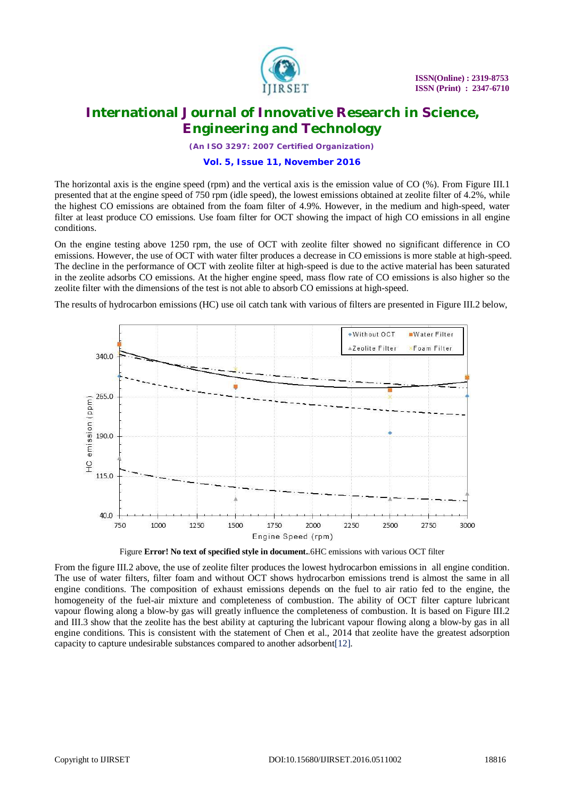

*(An ISO 3297: 2007 Certified Organization)*

### **Vol. 5, Issue 11, November 2016**

The horizontal axis is the engine speed (rpm) and the vertical axis is the emission value of CO (%). From Figure III.1 presented that at the engine speed of 750 rpm (idle speed), the lowest emissions obtained at zeolite filter of 4.2%, while the highest CO emissions are obtained from the foam filter of 4.9%. However, in the medium and high-speed, water filter at least produce CO emissions. Use foam filter for OCT showing the impact of high CO emissions in all engine conditions.

On the engine testing above 1250 rpm, the use of OCT with zeolite filter showed no significant difference in CO emissions. However, the use of OCT with water filter produces a decrease in CO emissions is more stable at high-speed. The decline in the performance of OCT with zeolite filter at high-speed is due to the active material has been saturated in the zeolite adsorbs CO emissions. At the higher engine speed, mass flow rate of CO emissions is also higher so the zeolite filter with the dimensions of the test is not able to absorb CO emissions at high-speed.

The results of hydrocarbon emissions (HC) use oil catch tank with various of filters are presented in Figure III.2 below,



Figure **Error! No text of specified style in document.**.6HC emissions with various OCT filter

From the figure III.2 above, the use of zeolite filter produces the lowest hydrocarbon emissions in all engine condition. The use of water filters, filter foam and without OCT shows hydrocarbon emissions trend is almost the same in all engine conditions. The composition of exhaust emissions depends on the fuel to air ratio fed to the engine, the homogeneity of the fuel-air mixture and completeness of combustion. The ability of OCT filter capture lubricant vapour flowing along a blow-by gas will greatly influence the completeness of combustion. It is based on Figure III.2 and III.3 show that the zeolite has the best ability at capturing the lubricant vapour flowing along a blow-by gas in all engine conditions. This is consistent with the statement of Chen et al., 2014 that zeolite have the greatest adsorption capacity to capture undesirable substances compared to another adsorbent[12].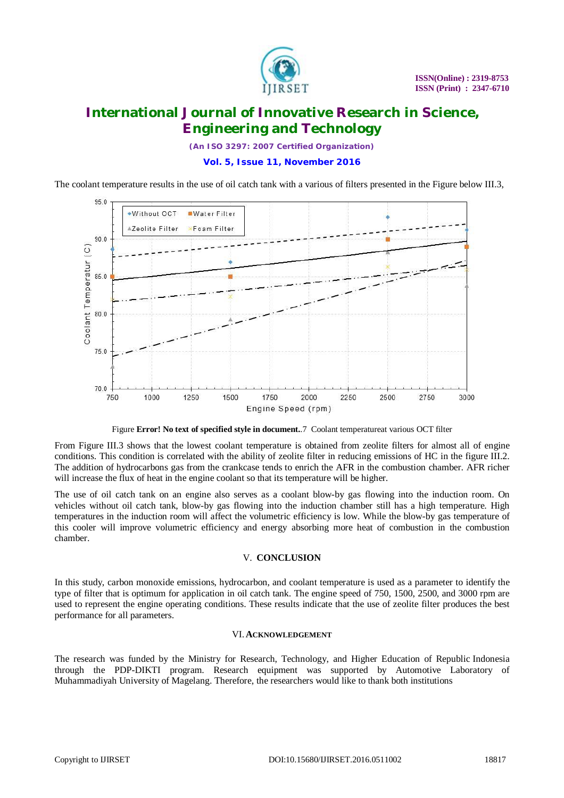

*(An ISO 3297: 2007 Certified Organization)*

## **Vol. 5, Issue 11, November 2016**

The coolant temperature results in the use of oil catch tank with a various of filters presented in the Figure below III.3,



Figure **Error! No text of specified style in document.**.7 Coolant temperatureat various OCT filter

From Figure III.3 shows that the lowest coolant temperature is obtained from zeolite filters for almost all of engine conditions. This condition is correlated with the ability of zeolite filter in reducing emissions of HC in the figure III.2. The addition of hydrocarbons gas from the crankcase tends to enrich the AFR in the combustion chamber. AFR richer will increase the flux of heat in the engine coolant so that its temperature will be higher.

The use of oil catch tank on an engine also serves as a coolant blow-by gas flowing into the induction room. On vehicles without oil catch tank, blow-by gas flowing into the induction chamber still has a high temperature. High temperatures in the induction room will affect the volumetric efficiency is low. While the blow-by gas temperature of this cooler will improve volumetric efficiency and energy absorbing more heat of combustion in the combustion chamber.

### V. **CONCLUSION**

In this study, carbon monoxide emissions, hydrocarbon, and coolant temperature is used as a parameter to identify the type of filter that is optimum for application in oil catch tank. The engine speed of 750, 1500, 2500, and 3000 rpm are used to represent the engine operating conditions. These results indicate that the use of zeolite filter produces the best performance for all parameters.

### VI.**ACKNOWLEDGEMENT**

The research was funded by the Ministry for Research, Technology, and Higher Education of Republic Indonesia through the PDP-DIKTI program. Research equipment was supported by Automotive Laboratory of Muhammadiyah University of Magelang. Therefore, the researchers would like to thank both institutions